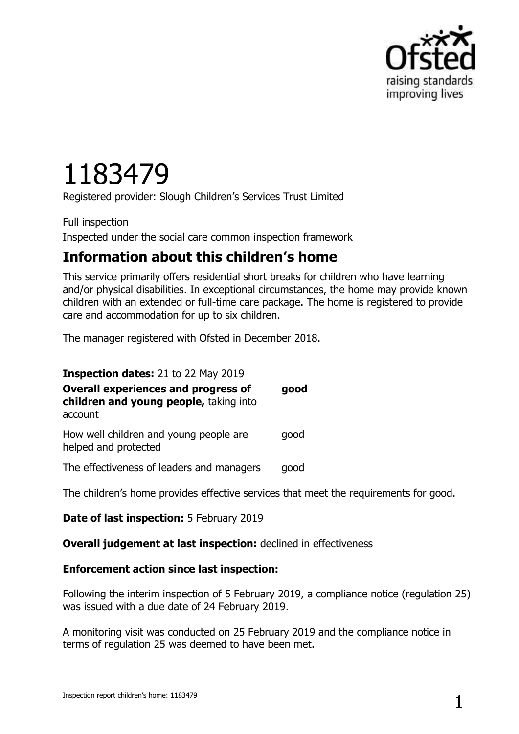

# 1183479

Registered provider: Slough Children"s Services Trust Limited

Full inspection Inspected under the social care common inspection framework

## **Information about this children's home**

This service primarily offers residential short breaks for children who have learning and/or physical disabilities. In exceptional circumstances, the home may provide known children with an extended or full-time care package. The home is registered to provide care and accommodation for up to six children.

The manager registered with Ofsted in December 2018.

**Inspection dates:** 21 to 22 May 2019 **Overall experiences and progress of children and young people,** taking into account **good** How well children and young people are helped and protected good The effectiveness of leaders and managers good

The children's home provides effective services that meet the requirements for good.

**Date of last inspection:** 5 February 2019

#### **Overall judgement at last inspection:** declined in effectiveness

#### **Enforcement action since last inspection:**

Following the interim inspection of 5 February 2019, a compliance notice (regulation 25) was issued with a due date of 24 February 2019.

A monitoring visit was conducted on 25 February 2019 and the compliance notice in terms of regulation 25 was deemed to have been met.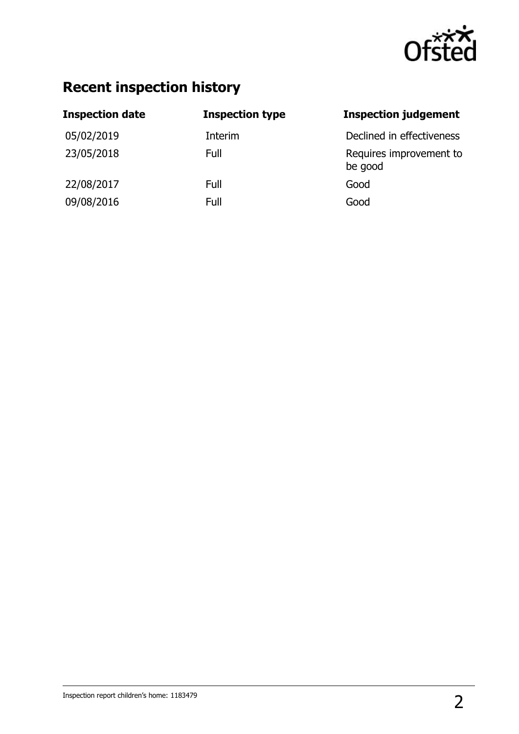

## **Recent inspection history**

| <b>Inspection date</b> | <b>Inspection type</b> | <b>Inspection judgement</b>        |
|------------------------|------------------------|------------------------------------|
| 05/02/2019             | Interim                | Declined in effectiveness          |
| 23/05/2018             | Full                   | Requires improvement to<br>be good |
| 22/08/2017             | Full                   | Good                               |
| 09/08/2016             | Full                   | Good                               |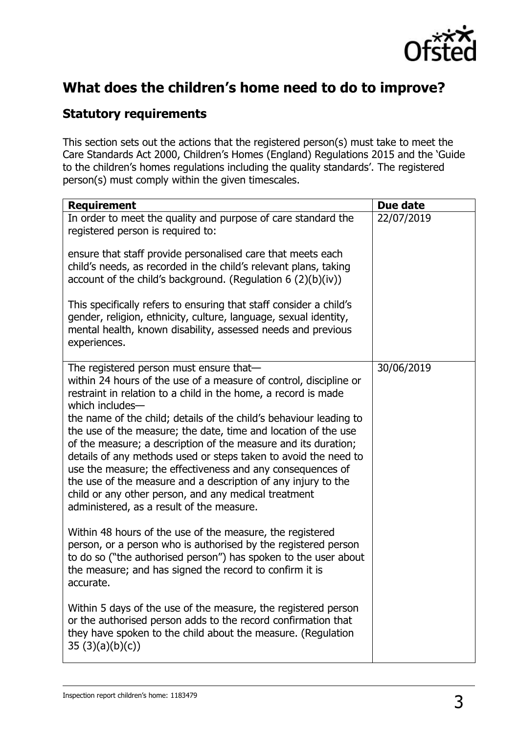

## **What does the children's home need to do to improve?**

### **Statutory requirements**

This section sets out the actions that the registered person(s) must take to meet the Care Standards Act 2000, Children"s Homes (England) Regulations 2015 and the "Guide to the children's homes regulations including the quality standards'. The registered person(s) must comply within the given timescales.

| <b>Requirement</b>                                                                                                                                                                                                                                                                                                                                                                                                                                                                                            | Due date   |
|---------------------------------------------------------------------------------------------------------------------------------------------------------------------------------------------------------------------------------------------------------------------------------------------------------------------------------------------------------------------------------------------------------------------------------------------------------------------------------------------------------------|------------|
| In order to meet the quality and purpose of care standard the<br>registered person is required to:                                                                                                                                                                                                                                                                                                                                                                                                            | 22/07/2019 |
| ensure that staff provide personalised care that meets each<br>child's needs, as recorded in the child's relevant plans, taking<br>account of the child's background. (Regulation $6(2)(b)(iv)$ )                                                                                                                                                                                                                                                                                                             |            |
| This specifically refers to ensuring that staff consider a child's<br>gender, religion, ethnicity, culture, language, sexual identity,<br>mental health, known disability, assessed needs and previous<br>experiences.                                                                                                                                                                                                                                                                                        |            |
| The registered person must ensure that-<br>within 24 hours of the use of a measure of control, discipline or<br>restraint in relation to a child in the home, a record is made<br>which includes-                                                                                                                                                                                                                                                                                                             | 30/06/2019 |
| the name of the child; details of the child's behaviour leading to<br>the use of the measure; the date, time and location of the use<br>of the measure; a description of the measure and its duration;<br>details of any methods used or steps taken to avoid the need to<br>use the measure; the effectiveness and any consequences of<br>the use of the measure and a description of any injury to the<br>child or any other person, and any medical treatment<br>administered, as a result of the measure. |            |
| Within 48 hours of the use of the measure, the registered<br>person, or a person who is authorised by the registered person<br>to do so ("the authorised person") has spoken to the user about<br>the measure; and has signed the record to confirm it is<br>accurate.                                                                                                                                                                                                                                        |            |
| Within 5 days of the use of the measure, the registered person<br>or the authorised person adds to the record confirmation that<br>they have spoken to the child about the measure. (Regulation<br>35(3)(a)(b)(c))                                                                                                                                                                                                                                                                                            |            |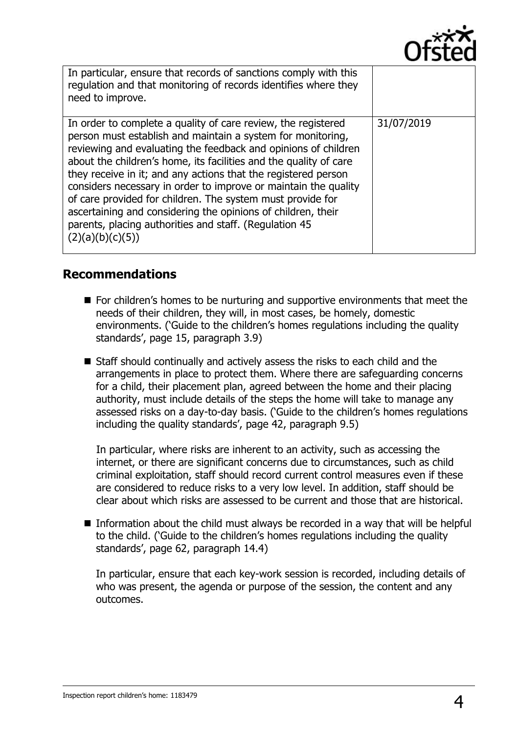

| In particular, ensure that records of sanctions comply with this<br>regulation and that monitoring of records identifies where they<br>need to improve.                                                                                                                                                                                                                                                                                                                                                                                                                                                              |            |
|----------------------------------------------------------------------------------------------------------------------------------------------------------------------------------------------------------------------------------------------------------------------------------------------------------------------------------------------------------------------------------------------------------------------------------------------------------------------------------------------------------------------------------------------------------------------------------------------------------------------|------------|
| In order to complete a quality of care review, the registered<br>person must establish and maintain a system for monitoring,<br>reviewing and evaluating the feedback and opinions of children<br>about the children's home, its facilities and the quality of care<br>they receive in it; and any actions that the registered person<br>considers necessary in order to improve or maintain the quality<br>of care provided for children. The system must provide for<br>ascertaining and considering the opinions of children, their<br>parents, placing authorities and staff. (Regulation 45<br>(2)(a)(b)(c)(5)) | 31/07/2019 |

#### **Recommendations**

- For children's homes to be nurturing and supportive environments that meet the needs of their children, they will, in most cases, be homely, domestic environments. ('Guide to the children's homes regulations including the quality standards", page 15, paragraph 3.9)
- Staff should continually and actively assess the risks to each child and the arrangements in place to protect them. Where there are safeguarding concerns for a child, their placement plan, agreed between the home and their placing authority, must include details of the steps the home will take to manage any assessed risks on a day-to-day basis. ("Guide to the children"s homes regulations including the quality standards', page 42, paragraph 9.5)

In particular, where risks are inherent to an activity, such as accessing the internet, or there are significant concerns due to circumstances, such as child criminal exploitation, staff should record current control measures even if these are considered to reduce risks to a very low level. In addition, staff should be clear about which risks are assessed to be current and those that are historical.

Information about the child must always be recorded in a way that will be helpful to the child. ("Guide to the children"s homes regulations including the quality standards', page 62, paragraph 14.4)

In particular, ensure that each key-work session is recorded, including details of who was present, the agenda or purpose of the session, the content and any outcomes.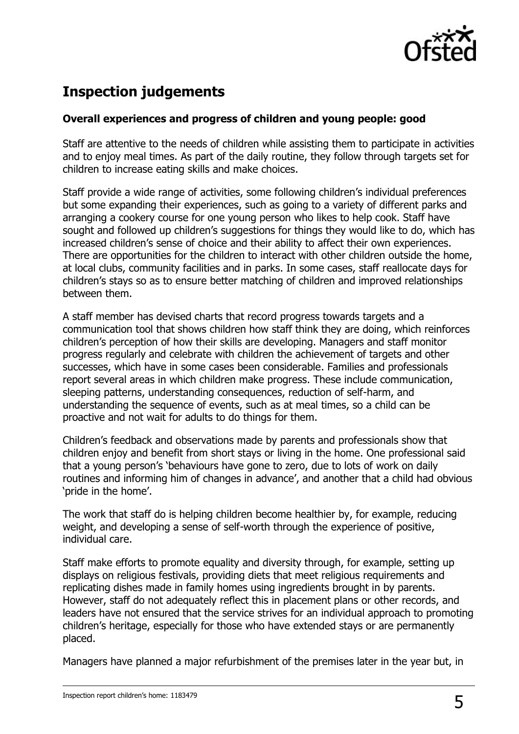

## **Inspection judgements**

#### **Overall experiences and progress of children and young people: good**

Staff are attentive to the needs of children while assisting them to participate in activities and to enjoy meal times. As part of the daily routine, they follow through targets set for children to increase eating skills and make choices.

Staff provide a wide range of activities, some following children"s individual preferences but some expanding their experiences, such as going to a variety of different parks and arranging a cookery course for one young person who likes to help cook. Staff have sought and followed up children's suggestions for things they would like to do, which has increased children's sense of choice and their ability to affect their own experiences. There are opportunities for the children to interact with other children outside the home, at local clubs, community facilities and in parks. In some cases, staff reallocate days for children"s stays so as to ensure better matching of children and improved relationships between them.

A staff member has devised charts that record progress towards targets and a communication tool that shows children how staff think they are doing, which reinforces children"s perception of how their skills are developing. Managers and staff monitor progress regularly and celebrate with children the achievement of targets and other successes, which have in some cases been considerable. Families and professionals report several areas in which children make progress. These include communication, sleeping patterns, understanding consequences, reduction of self-harm, and understanding the sequence of events, such as at meal times, so a child can be proactive and not wait for adults to do things for them.

Children"s feedback and observations made by parents and professionals show that children enjoy and benefit from short stays or living in the home. One professional said that a young person's 'behaviours have gone to zero, due to lots of work on daily routines and informing him of changes in advance", and another that a child had obvious 'pride in the home'.

The work that staff do is helping children become healthier by, for example, reducing weight, and developing a sense of self-worth through the experience of positive, individual care.

Staff make efforts to promote equality and diversity through, for example, setting up displays on religious festivals, providing diets that meet religious requirements and replicating dishes made in family homes using ingredients brought in by parents. However, staff do not adequately reflect this in placement plans or other records, and leaders have not ensured that the service strives for an individual approach to promoting children"s heritage, especially for those who have extended stays or are permanently placed.

Managers have planned a major refurbishment of the premises later in the year but, in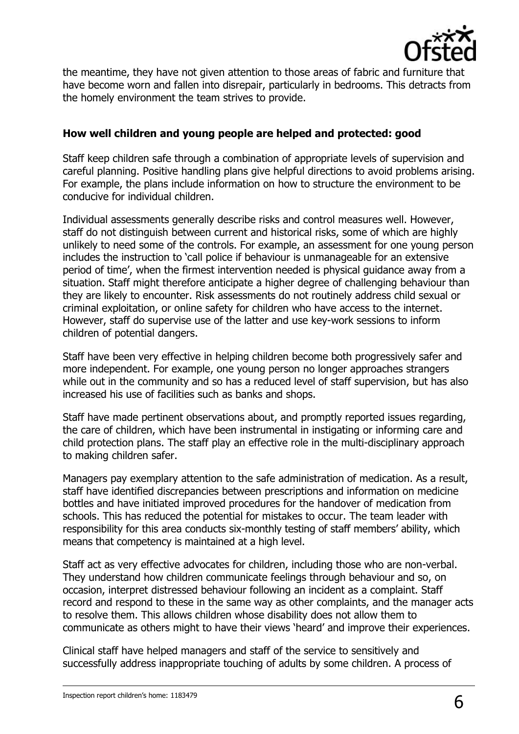

the meantime, they have not given attention to those areas of fabric and furniture that have become worn and fallen into disrepair, particularly in bedrooms. This detracts from the homely environment the team strives to provide.

#### **How well children and young people are helped and protected: good**

Staff keep children safe through a combination of appropriate levels of supervision and careful planning. Positive handling plans give helpful directions to avoid problems arising. For example, the plans include information on how to structure the environment to be conducive for individual children.

Individual assessments generally describe risks and control measures well. However, staff do not distinguish between current and historical risks, some of which are highly unlikely to need some of the controls. For example, an assessment for one young person includes the instruction to "call police if behaviour is unmanageable for an extensive period of time", when the firmest intervention needed is physical guidance away from a situation. Staff might therefore anticipate a higher degree of challenging behaviour than they are likely to encounter. Risk assessments do not routinely address child sexual or criminal exploitation, or online safety for children who have access to the internet. However, staff do supervise use of the latter and use key-work sessions to inform children of potential dangers.

Staff have been very effective in helping children become both progressively safer and more independent. For example, one young person no longer approaches strangers while out in the community and so has a reduced level of staff supervision, but has also increased his use of facilities such as banks and shops.

Staff have made pertinent observations about, and promptly reported issues regarding, the care of children, which have been instrumental in instigating or informing care and child protection plans. The staff play an effective role in the multi-disciplinary approach to making children safer.

Managers pay exemplary attention to the safe administration of medication. As a result, staff have identified discrepancies between prescriptions and information on medicine bottles and have initiated improved procedures for the handover of medication from schools. This has reduced the potential for mistakes to occur. The team leader with responsibility for this area conducts six-monthly testing of staff members' ability, which means that competency is maintained at a high level.

Staff act as very effective advocates for children, including those who are non-verbal. They understand how children communicate feelings through behaviour and so, on occasion, interpret distressed behaviour following an incident as a complaint. Staff record and respond to these in the same way as other complaints, and the manager acts to resolve them. This allows children whose disability does not allow them to communicate as others might to have their views "heard" and improve their experiences.

Clinical staff have helped managers and staff of the service to sensitively and successfully address inappropriate touching of adults by some children. A process of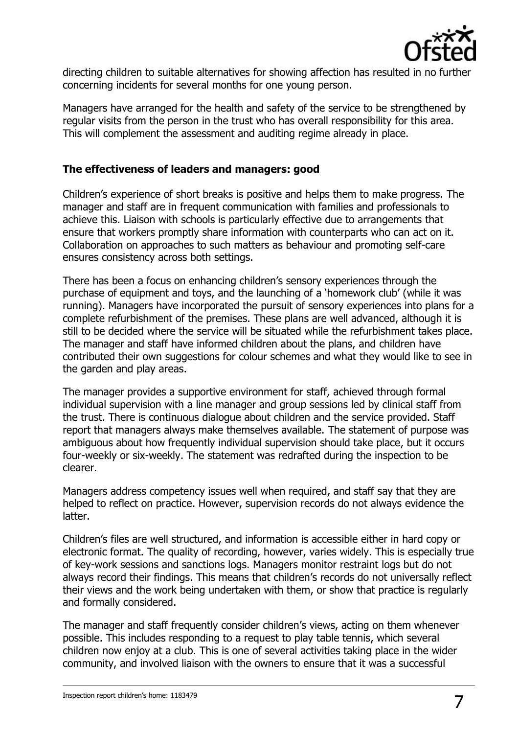

directing children to suitable alternatives for showing affection has resulted in no further concerning incidents for several months for one young person.

Managers have arranged for the health and safety of the service to be strengthened by regular visits from the person in the trust who has overall responsibility for this area. This will complement the assessment and auditing regime already in place.

#### **The effectiveness of leaders and managers: good**

Children"s experience of short breaks is positive and helps them to make progress. The manager and staff are in frequent communication with families and professionals to achieve this. Liaison with schools is particularly effective due to arrangements that ensure that workers promptly share information with counterparts who can act on it. Collaboration on approaches to such matters as behaviour and promoting self-care ensures consistency across both settings.

There has been a focus on enhancing children"s sensory experiences through the purchase of equipment and toys, and the launching of a "homework club" (while it was running). Managers have incorporated the pursuit of sensory experiences into plans for a complete refurbishment of the premises. These plans are well advanced, although it is still to be decided where the service will be situated while the refurbishment takes place. The manager and staff have informed children about the plans, and children have contributed their own suggestions for colour schemes and what they would like to see in the garden and play areas.

The manager provides a supportive environment for staff, achieved through formal individual supervision with a line manager and group sessions led by clinical staff from the trust. There is continuous dialogue about children and the service provided. Staff report that managers always make themselves available. The statement of purpose was ambiguous about how frequently individual supervision should take place, but it occurs four-weekly or six-weekly. The statement was redrafted during the inspection to be clearer.

Managers address competency issues well when required, and staff say that they are helped to reflect on practice. However, supervision records do not always evidence the latter.

Children"s files are well structured, and information is accessible either in hard copy or electronic format. The quality of recording, however, varies widely. This is especially true of key-work sessions and sanctions logs. Managers monitor restraint logs but do not always record their findings. This means that children"s records do not universally reflect their views and the work being undertaken with them, or show that practice is regularly and formally considered.

The manager and staff frequently consider children"s views, acting on them whenever possible. This includes responding to a request to play table tennis, which several children now enjoy at a club. This is one of several activities taking place in the wider community, and involved liaison with the owners to ensure that it was a successful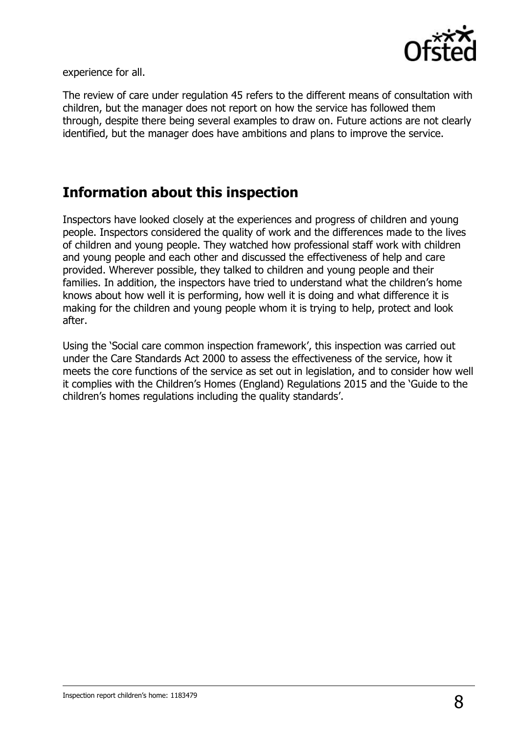

experience for all.

The review of care under regulation 45 refers to the different means of consultation with children, but the manager does not report on how the service has followed them through, despite there being several examples to draw on. Future actions are not clearly identified, but the manager does have ambitions and plans to improve the service.

## **Information about this inspection**

Inspectors have looked closely at the experiences and progress of children and young people. Inspectors considered the quality of work and the differences made to the lives of children and young people. They watched how professional staff work with children and young people and each other and discussed the effectiveness of help and care provided. Wherever possible, they talked to children and young people and their families. In addition, the inspectors have tried to understand what the children's home knows about how well it is performing, how well it is doing and what difference it is making for the children and young people whom it is trying to help, protect and look after.

Using the 'Social care common inspection framework', this inspection was carried out under the Care Standards Act 2000 to assess the effectiveness of the service, how it meets the core functions of the service as set out in legislation, and to consider how well it complies with the Children"s Homes (England) Regulations 2015 and the "Guide to the children's homes regulations including the quality standards'.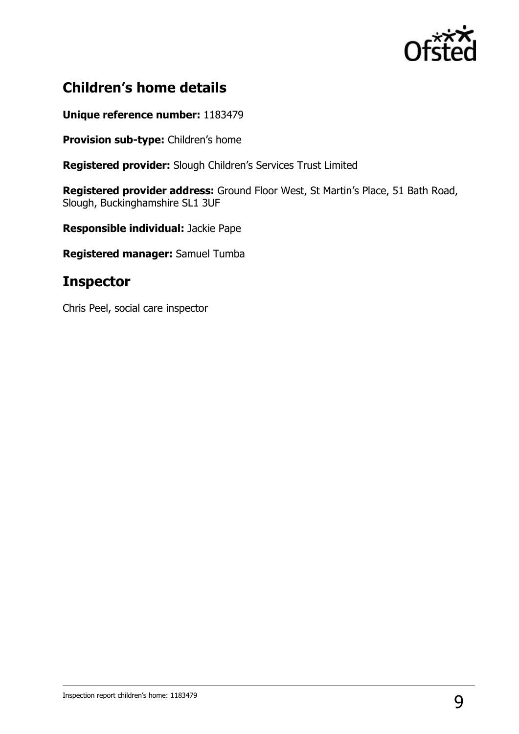

## **Children's home details**

**Unique reference number:** 1183479

**Provision sub-type:** Children's home

**Registered provider:** Slough Children"s Services Trust Limited

**Registered provider address:** Ground Floor West, St Martin"s Place, 51 Bath Road, Slough, Buckinghamshire SL1 3UF

**Responsible individual:** Jackie Pape

**Registered manager:** Samuel Tumba

## **Inspector**

Chris Peel, social care inspector